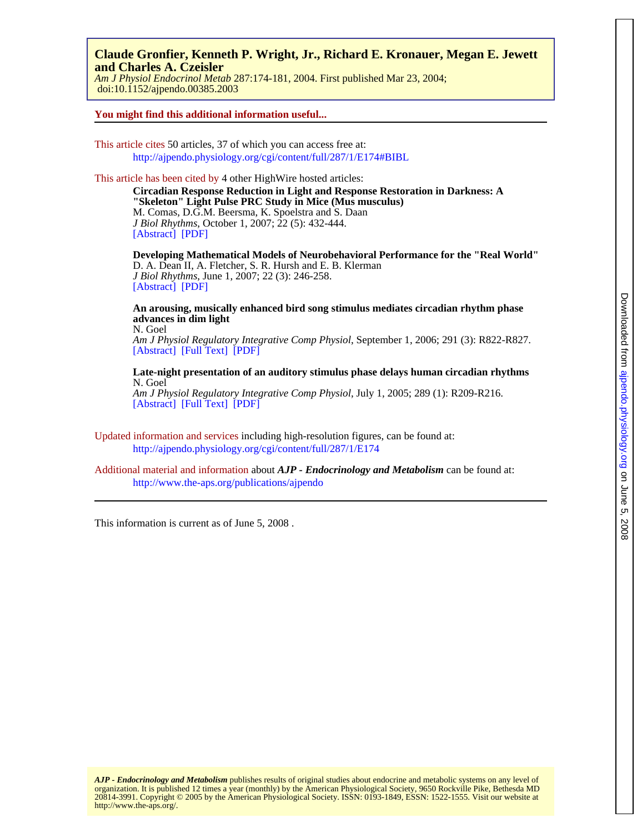# Downloaded from ajpendo.physiology.org on June 5, on June 5, 2008 [ajpendo.physiology.org](http://ajpendo.physiology.org) Downloaded from

2008

## **and Charles A. Czeisler Claude Gronfier, Kenneth P. Wright, Jr., Richard E. Kronauer, Megan E. Jewett**

 doi:10.1152/ajpendo.00385.2003 *Am J Physiol Endocrinol Metab* 287:174-181, 2004. First published Mar 23, 2004;

### **You might find this additional information useful...**

This article cites 50 articles, 37 of which you can access free at: <http://ajpendo.physiology.org/cgi/content/full/287/1/E174#BIBL>

This article has been cited by 4 other HighWire hosted articles:

[\[Abstract\]](http://jbr.sagepub.com/cgi/content/abstract/22/5/432) [\[PDF\]](http://jbr.sagepub.com/cgi/reprint/22/5/432) *J Biol Rhythms*, October 1, 2007; 22 (5): 432-444. M. Comas, D.G.M. Beersma, K. Spoelstra and S. Daan **"Skeleton" Light Pulse PRC Study in Mice (Mus musculus) Circadian Response Reduction in Light and Response Restoration in Darkness: A**

[\[Abstract\]](http://jbr.sagepub.com/cgi/content/abstract/22/3/246) [\[PDF\]](http://jbr.sagepub.com/cgi/reprint/22/3/246) *J Biol Rhythms*, June 1, 2007; 22 (3): 246-258. D. A. Dean II, A. Fletcher, S. R. Hursh and E. B. Klerman **Developing Mathematical Models of Neurobehavioral Performance for the "Real World"**

N. Goel **advances in dim light An arousing, musically enhanced bird song stimulus mediates circadian rhythm phase**

[\[Abstract\]](http://ajpregu.physiology.org/cgi/content/abstract/291/3/R822) [\[Full Text\]](http://ajpregu.physiology.org/cgi/content/full/291/3/R822) [\[PDF\]](http://ajpregu.physiology.org/cgi/reprint/291/3/R822) *Am J Physiol Regulatory Integrative Comp Physiol*, September 1, 2006; 291 (3): R822-R827.

[\[Abstract\]](http://ajpregu.physiology.org/cgi/content/abstract/289/1/R209) [\[Full Text\]](http://ajpregu.physiology.org/cgi/content/full/289/1/R209) [\[PDF\]](http://ajpregu.physiology.org/cgi/reprint/289/1/R209) *Am J Physiol Regulatory Integrative Comp Physiol*, July 1, 2005; 289 (1): R209-R216. N. Goel **Late-night presentation of an auditory stimulus phase delays human circadian rhythms**

- Updated information and services including high-resolution figures, can be found at: <http://ajpendo.physiology.org/cgi/content/full/287/1/E174>
- Additional material and information about *AJP Endocrinology and Metabolism* can be found at: <http://www.the-aps.org/publications/ajpendo>

This information is current as of June 5, 2008 .

[http://www.the-aps.org/.](http://www.the-aps.org/) 20814-3991. Copyright © 2005 by the American Physiological Society. ISSN: 0193-1849, ESSN: 1522-1555. Visit our website at organization. It is published 12 times a year (monthly) by the American Physiological Society, 9650 Rockville Pike, Bethesda MD *AJP - Endocrinology and Metabolism* publishes results of original studies about endocrine and metabolic systems on any level of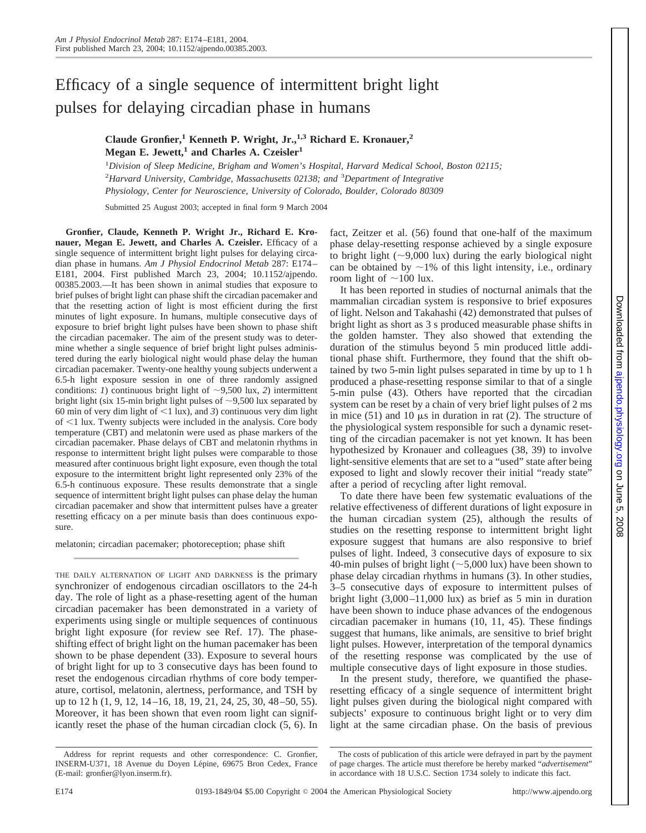# Efficacy of a single sequence of intermittent bright light pulses for delaying circadian phase in humans

**Claude Gronfier,1 Kenneth P. Wright, Jr.,1,3 Richard E. Kronauer,2** Megan E. Jewett,<sup>1</sup> and Charles A. Czeisler<sup>1</sup>

1 *Division of Sleep Medicine, Brigham and Women's Hospital, Harvard Medical School, Boston 02115;* 2 *Harvard University, Cambridge, Massachusetts 02138; and* <sup>3</sup> *Department of Integrative Physiology, Center for Neuroscience, University of Colorado, Boulder, Colorado 80309*

Submitted 25 August 2003; accepted in final form 9 March 2004

**Gronfier, Claude, Kenneth P. Wright Jr., Richard E. Kronauer, Megan E. Jewett, and Charles A. Czeisler.** Efficacy of a single sequence of intermittent bright light pulses for delaying circadian phase in humans. *Am J Physiol Endocrinol Metab* 287: E174– E181, 2004. First published March 23, 2004; 10.1152/ajpendo. 00385.2003.—It has been shown in animal studies that exposure to brief pulses of bright light can phase shift the circadian pacemaker and that the resetting action of light is most efficient during the first minutes of light exposure. In humans, multiple consecutive days of exposure to brief bright light pulses have been shown to phase shift the circadian pacemaker. The aim of the present study was to determine whether a single sequence of brief bright light pulses administered during the early biological night would phase delay the human circadian pacemaker. Twenty-one healthy young subjects underwent a 6.5-h light exposure session in one of three randomly assigned conditions: *1*) continuous bright light of  $\sim$ 9,500 lux, 2) intermittent bright light (six 15-min bright light pulses of  $\sim$ 9,500 lux separated by 60 min of very dim light of  $\leq 1$  lux), and 3) continuous very dim light of <1 lux. Twenty subjects were included in the analysis. Core body temperature (CBT) and melatonin were used as phase markers of the circadian pacemaker. Phase delays of CBT and melatonin rhythms in response to intermittent bright light pulses were comparable to those measured after continuous bright light exposure, even though the total exposure to the intermittent bright light represented only 23% of the 6.5-h continuous exposure. These results demonstrate that a single sequence of intermittent bright light pulses can phase delay the human circadian pacemaker and show that intermittent pulses have a greater resetting efficacy on a per minute basis than does continuous exposure.

melatonin; circadian pacemaker; photoreception; phase shift

THE DAILY ALTERNATION OF LIGHT AND DARKNESS is the primary synchronizer of endogenous circadian oscillators to the 24-h day. The role of light as a phase-resetting agent of the human circadian pacemaker has been demonstrated in a variety of experiments using single or multiple sequences of continuous bright light exposure (for review see Ref. 17). The phaseshifting effect of bright light on the human pacemaker has been shown to be phase dependent (33). Exposure to several hours of bright light for up to 3 consecutive days has been found to reset the endogenous circadian rhythms of core body temperature, cortisol, melatonin, alertness, performance, and TSH by up to 12 h (1, 9, 12, 14–16, 18, 19, 21, 24, 25, 30, 48–50, 55). Moreover, it has been shown that even room light can significantly reset the phase of the human circadian clock (5, 6). In fact, Zeitzer et al. (56) found that one-half of the maximum phase delay-resetting response achieved by a single exposure to bright light  $(\sim 9,000 \text{ lux})$  during the early biological night can be obtained by  $\sim$ 1% of this light intensity, i.e., ordinary room light of  $\sim$ 100 lux.

It has been reported in studies of nocturnal animals that the mammalian circadian system is responsive to brief exposures of light. Nelson and Takahashi (42) demonstrated that pulses of bright light as short as 3 s produced measurable phase shifts in the golden hamster. They also showed that extending the duration of the stimulus beyond 5 min produced little additional phase shift. Furthermore, they found that the shift obtained by two 5-min light pulses separated in time by up to 1 h produced a phase-resetting response similar to that of a single 5-min pulse (43). Others have reported that the circadian system can be reset by a chain of very brief light pulses of 2 ms in mice  $(51)$  and 10  $\mu$ s in duration in rat  $(2)$ . The structure of the physiological system responsible for such a dynamic resetting of the circadian pacemaker is not yet known. It has been hypothesized by Kronauer and colleagues (38, 39) to involve light-sensitive elements that are set to a "used" state after being exposed to light and slowly recover their initial "ready state" after a period of recycling after light removal.

To date there have been few systematic evaluations of the relative effectiveness of different durations of light exposure in the human circadian system (25), although the results of studies on the resetting response to intermittent bright light exposure suggest that humans are also responsive to brief pulses of light. Indeed, 3 consecutive days of exposure to six 40-min pulses of bright light  $(\sim 5,000 \text{ lux})$  have been shown to phase delay circadian rhythms in humans (3). In other studies, 3–5 consecutive days of exposure to intermittent pulses of bright light (3,000–11,000 lux) as brief as 5 min in duration have been shown to induce phase advances of the endogenous circadian pacemaker in humans (10, 11, 45). These findings suggest that humans, like animals, are sensitive to brief bright light pulses. However, interpretation of the temporal dynamics of the resetting response was complicated by the use of multiple consecutive days of light exposure in those studies.

In the present study, therefore, we quantified the phaseresetting efficacy of a single sequence of intermittent bright light pulses given during the biological night compared with subjects' exposure to continuous bright light or to very dim light at the same circadian phase. On the basis of previous

Address for reprint requests and other correspondence: C. Gronfier, INSERM-U371, 18 Avenue du Doyen Lépine, 69675 Bron Cedex, France (E-mail: gronfier@lyon.inserm.fr).

The costs of publication of this article were defrayed in part by the payment of page charges. The article must therefore be hereby marked "*advertisement*" in accordance with 18 U.S.C. Section 1734 solely to indicate this fact.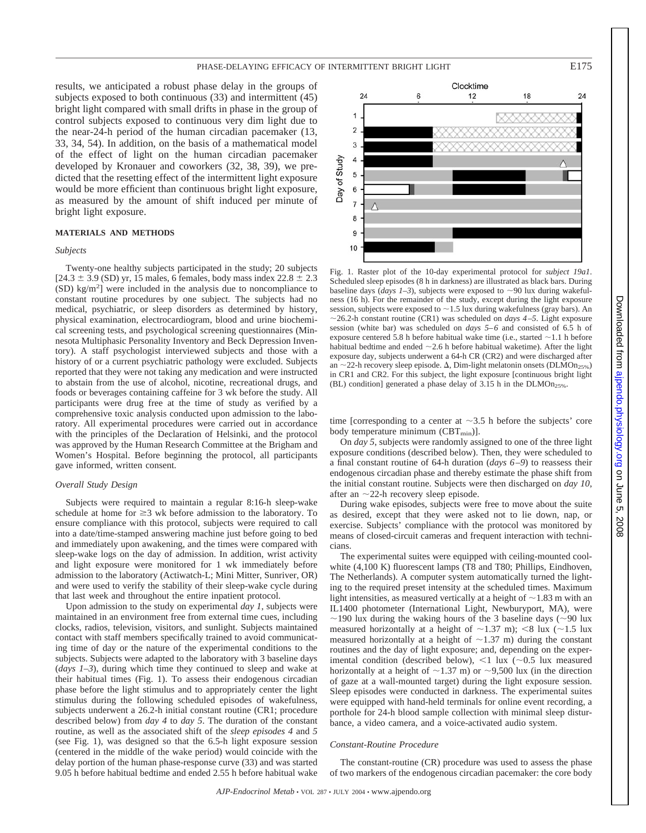results, we anticipated a robust phase delay in the groups of subjects exposed to both continuous (33) and intermittent (45) bright light compared with small drifts in phase in the group of control subjects exposed to continuous very dim light due to the near-24-h period of the human circadian pacemaker (13, 33, 34, 54). In addition, on the basis of a mathematical model of the effect of light on the human circadian pacemaker developed by Kronauer and coworkers (32, 38, 39), we predicted that the resetting effect of the intermittent light exposure would be more efficient than continuous bright light exposure, as measured by the amount of shift induced per minute of bright light exposure.

### **MATERIALS AND METHODS**

### *Subjects*

Twenty-one healthy subjects participated in the study; 20 subjects  $[24.3 \pm 3.9 \,(SD)$  yr, 15 males, 6 females, body mass index  $22.8 \pm 2.3$ (SD) kg/m2 ] were included in the analysis due to noncompliance to constant routine procedures by one subject. The subjects had no medical, psychiatric, or sleep disorders as determined by history, physical examination, electrocardiogram, blood and urine biochemical screening tests, and psychological screening questionnaires (Minnesota Multiphasic Personality Inventory and Beck Depression Inventory). A staff psychologist interviewed subjects and those with a history of or a current psychiatric pathology were excluded. Subjects reported that they were not taking any medication and were instructed to abstain from the use of alcohol, nicotine, recreational drugs, and foods or beverages containing caffeine for 3 wk before the study. All participants were drug free at the time of study as verified by a comprehensive toxic analysis conducted upon admission to the laboratory. All experimental procedures were carried out in accordance with the principles of the Declaration of Helsinki, and the protocol was approved by the Human Research Committee at the Brigham and Women's Hospital. Before beginning the protocol, all participants gave informed, written consent.

### *Overall Study Design*

Subjects were required to maintain a regular 8:16-h sleep-wake schedule at home for  $\geq$ 3 wk before admission to the laboratory. To ensure compliance with this protocol, subjects were required to call into a date/time-stamped answering machine just before going to bed and immediately upon awakening, and the times were compared with sleep-wake logs on the day of admission. In addition, wrist activity and light exposure were monitored for 1 wk immediately before admission to the laboratory (Actiwatch-L; Mini Mitter, Sunriver, OR) and were used to verify the stability of their sleep-wake cycle during that last week and throughout the entire inpatient protocol.

Upon admission to the study on experimental *day 1*, subjects were maintained in an environment free from external time cues, including clocks, radios, television, visitors, and sunlight. Subjects maintained contact with staff members specifically trained to avoid communicating time of day or the nature of the experimental conditions to the subjects. Subjects were adapted to the laboratory with 3 baseline days (*days 1–3*), during which time they continued to sleep and wake at their habitual times (Fig. 1). To assess their endogenous circadian phase before the light stimulus and to appropriately center the light stimulus during the following scheduled episodes of wakefulness, subjects underwent a 26.2-h initial constant routine (CR1; procedure described below) from *day 4* to *day 5*. The duration of the constant routine, as well as the associated shift of the *sleep episodes 4* and *5* (see Fig. 1), was designed so that the 6.5-h light exposure session (centered in the middle of the wake period) would coincide with the delay portion of the human phase-response curve (33) and was started 9.05 h before habitual bedtime and ended 2.55 h before habitual wake



Fig. 1. Raster plot of the 10-day experimental protocol for *subject 19a1*. Scheduled sleep episodes (8 h in darkness) are illustrated as black bars. During baseline days (*days 1–3*), subjects were exposed to  $\sim$ 90 lux during wakefulness (16 h). For the remainder of the study, except during the light exposure session, subjects were exposed to  $\sim$  1.5 lux during wakefulness (gray bars). An  $\sim$ 26.2-h constant routine (CR1) was scheduled on *days* 4–5. Light exposure session (white bar) was scheduled on *days 5–6* and consisted of 6.5 h of exposure centered 5.8 h before habitual wake time (i.e., started  $\sim$  1.1 h before habitual bedtime and ended  $\sim$  2.6 h before habitual waketime). After the light exposure day, subjects underwent a 64-h CR (CR2) and were discharged after an  $\sim$ 22-h recovery sleep episode.  $\Delta$ , Dim-light melatonin onsets (DLMOn<sub>25%</sub>) in CR1 and CR2. For this subject, the light exposure [continuous bright light (BL) condition] generated a phase delay of 3.15 h in the DLMOn25%.

time [corresponding to a center at  $\sim$ 3.5 h before the subjects' core body temperature minimum  $(CBT_{min})$ ].

On *day 5*, subjects were randomly assigned to one of the three light exposure conditions (described below). Then, they were scheduled to a final constant routine of 64-h duration (*days 6–9*) to reassess their endogenous circadian phase and thereby estimate the phase shift from the initial constant routine. Subjects were then discharged on *day 10*, after an  $\sim$ 22-h recovery sleep episode.

During wake episodes, subjects were free to move about the suite as desired, except that they were asked not to lie down, nap, or exercise. Subjects' compliance with the protocol was monitored by means of closed-circuit cameras and frequent interaction with technicians.

The experimental suites were equipped with ceiling-mounted coolwhite (4,100 K) fluorescent lamps (T8 and T80; Phillips, Eindhoven, The Netherlands). A computer system automatically turned the lighting to the required preset intensity at the scheduled times. Maximum light intensities, as measured vertically at a height of  $\sim$  1.83 m with an IL1400 photometer (International Light, Newburyport, MA), were  $\sim$ 190 lux during the waking hours of the 3 baseline days ( $\sim$ 90 lux measured horizontally at a height of  $\sim$ 1.37 m); <8 lux ( $\sim$ 1.5 lux measured horizontally at a height of  $\sim$ 1.37 m) during the constant routines and the day of light exposure; and, depending on the experimental condition (described below),  $\leq 1$  lux ( $\sim 0.5$  lux measured horizontally at a height of  $\sim$ 1.37 m) or  $\sim$ 9,500 lux (in the direction of gaze at a wall-mounted target) during the light exposure session. Sleep episodes were conducted in darkness. The experimental suites were equipped with hand-held terminals for online event recording, a porthole for 24-h blood sample collection with minimal sleep disturbance, a video camera, and a voice-activated audio system.

### *Constant-Routine Procedure*

The constant-routine (CR) procedure was used to assess the phase of two markers of the endogenous circadian pacemaker: the core body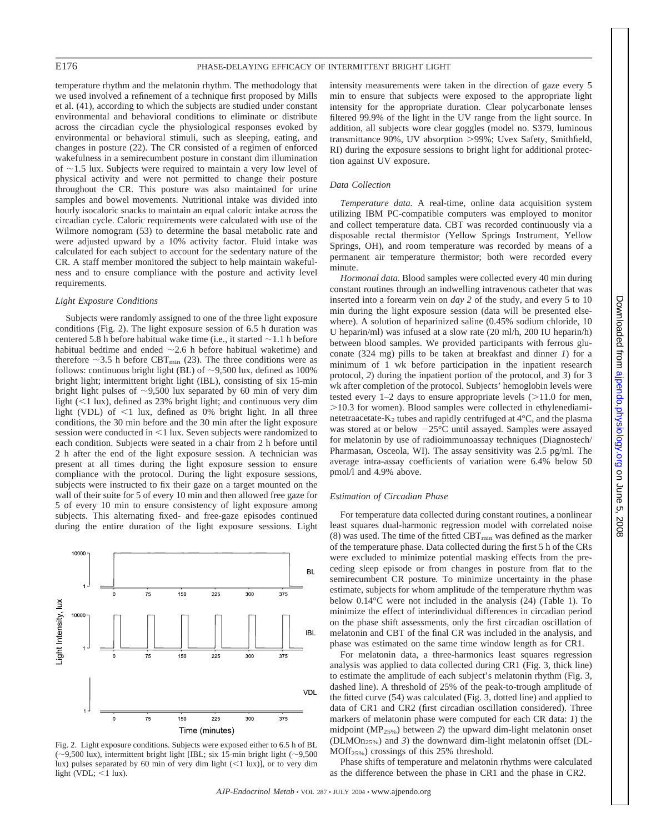### E176 PHASE-DELAYING EFFICACY OF INTERMITTENT BRIGHT LIGHT

temperature rhythm and the melatonin rhythm. The methodology that we used involved a refinement of a technique first proposed by Mills et al. (41), according to which the subjects are studied under constant environmental and behavioral conditions to eliminate or distribute across the circadian cycle the physiological responses evoked by environmental or behavioral stimuli, such as sleeping, eating, and changes in posture (22). The CR consisted of a regimen of enforced wakefulness in a semirecumbent posture in constant dim illumination of  $\sim$ 1.5 lux. Subjects were required to maintain a very low level of physical activity and were not permitted to change their posture throughout the CR. This posture was also maintained for urine samples and bowel movements. Nutritional intake was divided into hourly isocaloric snacks to maintain an equal caloric intake across the circadian cycle. Caloric requirements were calculated with use of the Wilmore nomogram (53) to determine the basal metabolic rate and were adjusted upward by a 10% activity factor. Fluid intake was calculated for each subject to account for the sedentary nature of the CR. A staff member monitored the subject to help maintain wakefulness and to ensure compliance with the posture and activity level requirements.

### *Light Exposure Conditions*

Subjects were randomly assigned to one of the three light exposure conditions (Fig. 2). The light exposure session of 6.5 h duration was centered 5.8 h before habitual wake time (i.e., it started  $\sim$  1.1 h before habitual bedtime and ended  $\sim$  2.6 h before habitual waketime) and therefore  $\sim$ 3.5 h before CBT<sub>min</sub> (23). The three conditions were as follows: continuous bright light (BL) of  $\sim$ 9,500 lux, defined as 100% bright light; intermittent bright light (IBL), consisting of six 15-min bright light pulses of  $\sim$ 9,500 lux separated by 60 min of very dim light  $(< 1$  lux), defined as 23% bright light; and continuous very dim light (VDL) of  $\leq 1$  lux, defined as 0% bright light. In all three conditions, the 30 min before and the 30 min after the light exposure session were conducted in <1 lux. Seven subjects were randomized to each condition. Subjects were seated in a chair from 2 h before until 2 h after the end of the light exposure session. A technician was present at all times during the light exposure session to ensure compliance with the protocol. During the light exposure sessions, subjects were instructed to fix their gaze on a target mounted on the wall of their suite for 5 of every 10 min and then allowed free gaze for 5 of every 10 min to ensure consistency of light exposure among subjects. This alternating fixed- and free-gaze episodes continued during the entire duration of the light exposure sessions. Light



Fig. 2. Light exposure conditions. Subjects were exposed either to 6.5 h of BL  $(\sim)9,500$  lux), intermittent bright light [IBL; six 15-min bright light ( $\sim$ 9,500 lux) pulses separated by 60 min of very dim light  $(<1$  lux)], or to very dim light (VDL;  $\leq 1$  lux).

intensity measurements were taken in the direction of gaze every 5 min to ensure that subjects were exposed to the appropriate light intensity for the appropriate duration. Clear polycarbonate lenses filtered 99.9% of the light in the UV range from the light source. In addition, all subjects wore clear goggles (model no. S379, luminous transmittance 90%, UV absorption 99%; Uvex Safety, Smithfield, RI) during the exposure sessions to bright light for additional protection against UV exposure.

### *Data Collection*

*Temperature data.* A real-time, online data acquisition system utilizing IBM PC-compatible computers was employed to monitor and collect temperature data. CBT was recorded continuously via a disposable rectal thermistor (Yellow Springs Instrument, Yellow Springs, OH), and room temperature was recorded by means of a permanent air temperature thermistor; both were recorded every minute.

*Hormonal data.* Blood samples were collected every 40 min during constant routines through an indwelling intravenous catheter that was inserted into a forearm vein on *day 2* of the study, and every 5 to 10 min during the light exposure session (data will be presented elsewhere). A solution of heparinized saline (0.45% sodium chloride, 10 U heparin/ml) was infused at a slow rate (20 ml/h, 200 IU heparin/h) between blood samples. We provided participants with ferrous gluconate (324 mg) pills to be taken at breakfast and dinner *1*) for a minimum of 1 wk before participation in the inpatient research protocol, *2*) during the inpatient portion of the protocol, and *3*) for 3 wk after completion of the protocol. Subjects' hemoglobin levels were tested every  $1-2$  days to ensure appropriate levels  $(>11.0$  for men,  $>$ 10.3 for women). Blood samples were collected in ethylenediaminetetraacetate- $K_2$  tubes and rapidly centrifuged at  $4^{\circ}C$ , and the plasma was stored at or below  $-25^{\circ}$ C until assayed. Samples were assayed for melatonin by use of radioimmunoassay techniques (Diagnostech/ Pharmasan, Osceola, WI). The assay sensitivity was 2.5 pg/ml. The average intra-assay coefficients of variation were 6.4% below 50 pmol/l and 4.9% above.

### *Estimation of Circadian Phase*

For temperature data collected during constant routines, a nonlinear least squares dual-harmonic regression model with correlated noise (8) was used. The time of the fitted  $CBT_{min}$  was defined as the marker of the temperature phase. Data collected during the first 5 h of the CRs were excluded to minimize potential masking effects from the preceding sleep episode or from changes in posture from flat to the semirecumbent CR posture*.* To minimize uncertainty in the phase estimate, subjects for whom amplitude of the temperature rhythm was below 0.14°C were not included in the analysis (24) (Table 1). To minimize the effect of interindividual differences in circadian period on the phase shift assessments, only the first circadian oscillation of melatonin and CBT of the final CR was included in the analysis, and phase was estimated on the same time window length as for CR1.

For melatonin data, a three-harmonics least squares regression analysis was applied to data collected during CR1 (Fig. 3, thick line) to estimate the amplitude of each subject's melatonin rhythm (Fig. 3, dashed line). A threshold of 25% of the peak-to-trough amplitude of the fitted curve (54) was calculated (Fig. 3, dotted line) and applied to data of CR1 and CR2 (first circadian oscillation considered). Three markers of melatonin phase were computed for each CR data: *1*) the midpoint (MP25%) between *2*) the upward dim-light melatonin onset (DLMOn25%) and *3*) the downward dim-light melatonin offset (DL-MOff25%) crossings of this 25% threshold.

Phase shifts of temperature and melatonin rhythms were calculated as the difference between the phase in CR1 and the phase in CR2.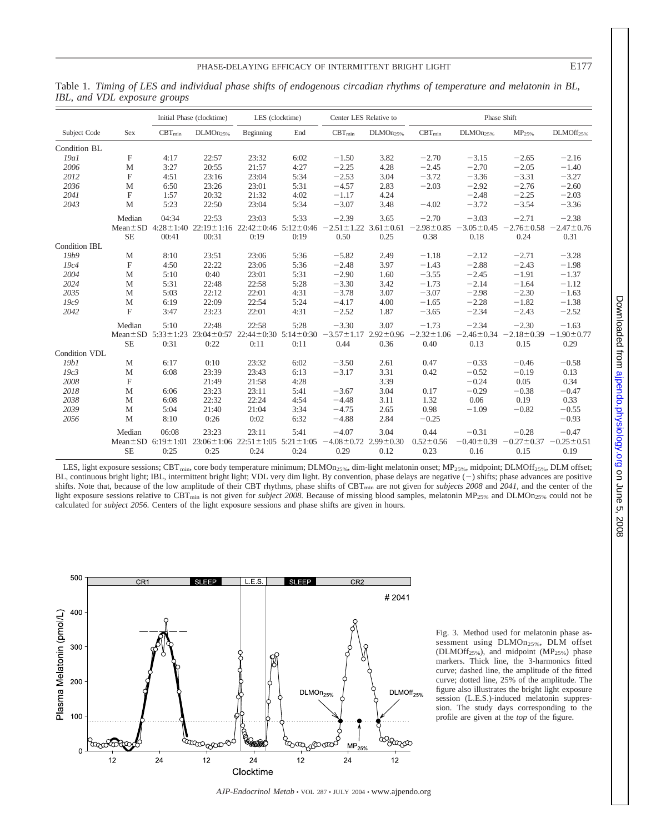|                      | Sex                       | Initial Phase (clocktime)     |                                  | LES (clocktime)                  |                 | Center LES Relative to |                      | Phase Shift      |                      |                   |                       |
|----------------------|---------------------------|-------------------------------|----------------------------------|----------------------------------|-----------------|------------------------|----------------------|------------------|----------------------|-------------------|-----------------------|
| Subject Code         |                           | $CBT_{min}$                   | DLMOn <sub>25%</sub>             | Beginning                        | End             | $CBT_{min}$            | DLMOn <sub>25%</sub> | $CBT_{min}$      | DLMOn <sub>25%</sub> | MP <sub>25%</sub> | DLMOff <sub>25%</sub> |
| Condition BL         |                           |                               |                                  |                                  |                 |                        |                      |                  |                      |                   |                       |
| 19a1                 | $\mathbf F$               | 4:17                          | 22:57                            | 23:32                            | 6:02            | $-1.50$                | 3.82                 | $-2.70$          | $-3.15$              | $-2.65$           | $-2.16$               |
| 2006                 | M                         | 3:27                          | 20:55                            | 21:57                            | 4:27            | $-2.25$                | 4.28                 | $-2.45$          | $-2.70$              | $-2.05$           | $-1.40$               |
| 2012                 | $\boldsymbol{\mathrm{F}}$ | 4:51                          | 23:16                            | 23:04                            | 5:34            | $-2.53$                | 3.04                 | $-3.72$          | $-3.36$              | $-3.31$           | $-3.27$               |
| 2036                 | M                         | 6:50                          | 23:26                            | 23:01                            | 5:31            | $-4.57$                | 2.83                 | $-2.03$          | $-2.92$              | $-2.76$           | $-2.60$               |
| 2041                 | $\mathbf F$               | 1:57                          | 20:32                            | 21:32                            | 4:02            | $-1.17$                | 4.24                 |                  | $-2.48$              | $-2.25$           | $-2.03$               |
| 2043                 | M                         | 5:23                          | 22:50                            | 23:04                            | 5:34            | $-3.07$                | 3.48                 | $-4.02$          | $-3.72$              | $-3.54$           | $-3.36$               |
|                      | Median                    | 04:34                         | 22:53                            | 23:03                            | 5:33            | $-2.39$                | 3.65                 | $-2.70$          | $-3.03$              | $-2.71$           | $-2.38$               |
|                      | $Mean \pm SD$             |                               | $4:28 \pm 1:40$ $22:19 \pm 1:16$ | $22:42 \pm 0:46$ 5:12 $\pm 0:46$ |                 | $-2.51 \pm 1.22$       | $3.61 \pm 0.61$      | $-2.98 \pm 0.85$ | $-3.05 \pm 0.45$     | $-2.76 \pm 0.58$  | $-2.47 \pm 0.76$      |
|                      | <b>SE</b>                 | 00:41                         | 00:31                            | 0:19                             | 0:19            | 0.50                   | 0.25                 | 0.38             | 0.18                 | 0.24              | 0.31                  |
| <b>Condition IBL</b> |                           |                               |                                  |                                  |                 |                        |                      |                  |                      |                   |                       |
| 19b9                 | M                         | 8:10                          | 23:51                            | 23:06                            | 5:36            | $-5.82$                | 2.49                 | $-1.18$          | $-2.12$              | $-2.71$           | $-3.28$               |
| 19c4                 | $\mathbf F$               | 4:50                          | 22:22                            | 23:06                            | 5:36            | $-2.48$                | 3.97                 | $-1.43$          | $-2.88$              | $-2.43$           | $-1.98$               |
| 2004                 | M                         | 5:10                          | 0:40                             | 23:01                            | 5:31            | $-2.90$                | 1.60                 | $-3.55$          | $-2.45$              | $-1.91$           | $-1.37$               |
| 2024                 | M                         | 5:31                          | 22:48                            | 22:58                            | 5:28            | $-3.30$                | 3.42                 | $-1.73$          | $-2.14$              | $-1.64$           | $-1.12$               |
| 2035                 | M                         | 5:03                          | 22:12                            | 22:01                            | 4:31            | $-3.78$                | 3.07                 | $-3.07$          | $-2.98$              | $-2.30$           | $-1.63$               |
| 19c9                 | M                         | 6:19                          | 22:09                            | 22:54                            | 5:24            | $-4.17$                | 4.00                 | $-1.65$          | $-2.28$              | $-1.82$           | $-1.38$               |
| 2042                 | F                         | 3:47                          | 23:23                            | 22:01                            | 4:31            | $-2.52$                | 1.87                 | $-3.65$          | $-2.34$              | $-2.43$           | $-2.52$               |
|                      | Median                    | 5:10                          | 22:48                            | 22:58                            | 5:28            | $-3.30$                | 3.07                 | $-1.73$          | $-2.34$              | $-2.30$           | $-1.63$               |
|                      |                           | Mean $\pm$ SD 5:33 $\pm$ 1:23 | $23:04 \pm 0:57$                 | $22:44 \pm 0:30$                 | $5:14 \pm 0:30$ | $-3.57 \pm 1.17$       | $2.92 \pm 0.96$      | $-2.32 \pm 1.06$ | $-2.46 \pm 0.34$     | $-2.18 \pm 0.39$  | $-1.90 \pm 0.77$      |
|                      | <b>SE</b>                 | 0:31                          | 0:22                             | 0:11                             | 0:11            | 0.44                   | 0.36                 | 0.40             | 0.13                 | 0.15              | 0.29                  |
| Condition VDL        |                           |                               |                                  |                                  |                 |                        |                      |                  |                      |                   |                       |
| 19b1                 | M                         | 6:17                          | 0:10                             | 23:32                            | 6:02            | $-3.50$                | 2.61                 | 0.47             | $-0.33$              | $-0.46$           | $-0.58$               |
| 19c3                 | $\mathbf M$               | 6:08                          | 23:39                            | 23:43                            | 6:13            | $-3.17$                | 3.31                 | 0.42             | $-0.52$              | $-0.19$           | 0.13                  |
| 2008                 | $\mathbf F$               |                               | 21:49                            | 21:58                            | 4:28            |                        | 3.39                 |                  | $-0.24$              | 0.05              | 0.34                  |
| 2018                 | M                         | 6:06                          | 23:23                            | 23:11                            | 5:41            | $-3.67$                | 3.04                 | 0.17             | $-0.29$              | $-0.38$           | $-0.47$               |
| 2038                 | M                         | 6:08                          | 22:32                            | 22:24                            | 4:54            | $-4.48$                | 3.11                 | 1.32             | 0.06                 | 0.19              | 0.33                  |
| 2039                 | M                         | 5:04                          | 21:40                            | 21:04                            | 3:34            | $-4.75$                | 2.65                 | 0.98             | $-1.09$              | $-0.82$           | $-0.55$               |
| 2056                 | M                         | 8:10                          | 0:26                             | 0:02                             | 6:32            | $-4.88$                | 2.84                 | $-0.25$          |                      |                   | $-0.93$               |
|                      | Median                    | 06:08                         | 23:23                            | 23:11                            | 5:41            | $-4.07$                | 3.04                 | 0.44             | $-0.31$              | $-0.28$           | $-0.47$               |
|                      |                           | Mean $\pm$ SD 6:19 $\pm$ 1:01 | $23:06 \pm 1:06$                 | $22:51 \pm 1:05$                 | $5:21 \pm 1:05$ | $-4.08 \pm 0.72$       | $2.99 \pm 0.30$      | $0.52 \pm 0.56$  | $-0.40 \pm 0.39$     | $-0.27 \pm 0.37$  | $-0.25 \pm 0.51$      |
|                      | <b>SE</b>                 | 0:25                          | 0:25                             | 0:24                             | 0:24            | 0.29                   | 0.12                 | 0.23             | 0.16                 | 0.15              | 0.19                  |

Table 1. *Timing of LES and individual phase shifts of endogenous circadian rhythms of temperature and melatonin in BL, IBL, and VDL exposure groups*

LES, light exposure sessions; CBT<sub>min</sub>, core body temperature minimum; DLMOn<sub>25%</sub>, dim-light melatonin onset; MP<sub>25%</sub>, midpoint; DLMOff<sub>25%</sub>, DLM offset; BL, continuous bright light; IBL, intermittent bright light; VDL very dim light. By convention, phase delays are negative (-) shifts; phase advances are positive shifts. Note that, because of the low amplitude of their CBT rhythms, phase shifts of CBT<sub>min</sub> are not given for *subjects 2008* and *2041*, and the center of the light exposure sessions relative to CBT<sub>min</sub> is not given for *subject 2008*. Because of missing blood samples, melatonin MP<sub>25%</sub> and DLMOn<sub>25%</sub> could not be calculated for *subject 2056.* Centers of the light exposure sessions and phase shifts are given in hours.



Fig. 3. Method used for melatonin phase assessment using DLMOn25%, DLM offset (DLMOff<sub>25%</sub>), and midpoint (MP<sub>25%</sub>) phase markers. Thick line, the 3-harmonics fitted curve; dashed line, the amplitude of the fitted curve; dotted line, 25% of the amplitude. The figure also illustrates the bright light exposure session (L.E.S.)-induced melatonin suppression. The study days corresponding to the profile are given at the *top* of the figure.

*AJP-Endocrinol Metab* • VOL 287 • JULY 2004 • www.ajpendo.org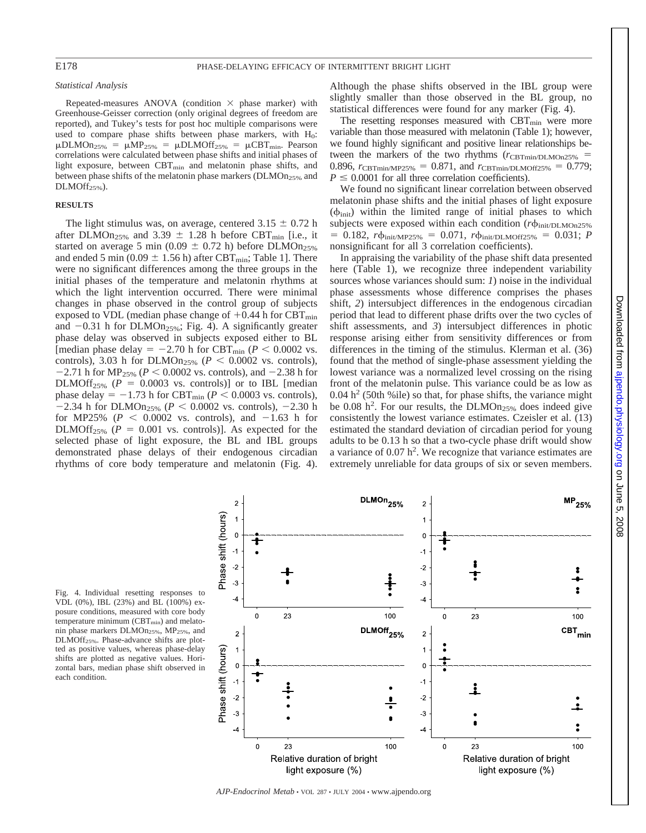### *Statistical Analysis*

Repeated-measures ANOVA (condition  $\times$  phase marker) with Greenhouse-Geisser correction (only original degrees of freedom are reported), and Tukey's tests for post hoc multiple comparisons were used to compare phase shifts between phase markers, with H<sub>0</sub>:  $\mu$ DLMOn<sub>25%</sub> =  $\mu$ MP<sub>25%</sub> =  $\mu$ DLMOff<sub>25%</sub> =  $\mu$ CBT<sub>min</sub>. Pearson correlations were calculated between phase shifts and initial phases of light exposure, between  $CBT_{min}$  and melatonin phase shifts, and between phase shifts of the melatonin phase markers (DLMOn<sub>25%</sub> and  $DLMOff<sub>25%</sub>$ ).

### **RESULTS**

The light stimulus was, on average, centered  $3.15 \pm 0.72$  h after DLMOn<sub>25%</sub> and 3.39  $\pm$  1.28 h before CBT<sub>min</sub> [i.e., it started on average 5 min (0.09  $\pm$  0.72 h) before DLMOn<sub>25%</sub> and ended 5 min (0.09  $\pm$  1.56 h) after CBT<sub>min</sub>; Table 1]. There were no significant differences among the three groups in the initial phases of the temperature and melatonin rhythms at which the light intervention occurred. There were minimal changes in phase observed in the control group of subjects exposed to VDL (median phase change of  $+0.44$  h for CBT $_{\text{min}}$ and  $-0.31$  h for DLMOn<sub>25%</sub>; Fig. 4). A significantly greater phase delay was observed in subjects exposed either to BL [median phase delay  $= -2.70$  h for CBT<sub>min</sub> ( $P < 0.0002$  vs. controls), 3.03 h for DLMOn<sub>25%</sub> ( $P < 0.0002$  vs. controls),  $-2.71$  h for MP<sub>25%</sub> ( $P < 0.0002$  vs. controls), and  $-2.38$  h for DLMOff<sub>25%</sub> ( $P = 0.0003$  vs. controls)] or to IBL [median phase delay  $= -1.73$  h for CBT<sub>min</sub> ( $P < 0.0003$  vs. controls),  $-2.34$  h for DLMOn<sub>25%</sub> ( $P < 0.0002$  vs. controls),  $-2.30$  h for MP25% ( $P < 0.0002$  vs. controls), and  $-1.63$  h for DLMOff<sub>25%</sub> ( $P = 0.001$  vs. controls)]. As expected for the selected phase of light exposure, the BL and IBL groups demonstrated phase delays of their endogenous circadian rhythms of core body temperature and melatonin (Fig. 4).

Phase shift (hours)

Phase shift (hours)

Although the phase shifts observed in the IBL group were slightly smaller than those observed in the BL group, no statistical differences were found for any marker (Fig. 4).

The resetting responses measured with  $CBT_{\text{min}}$  were more variable than those measured with melatonin (Table 1); however, we found highly significant and positive linear relationships between the markers of the two rhythms  $(r_{\text{CBTmin/DLMOn25%}}$  = 0.896,  $r_{\text{CBTmin/MP25\%}} = 0.871$ , and  $r_{\text{CBTmin/DLMOff25\%}} = 0.779$ ;  $P \leq 0.0001$  for all three correlation coefficients).

We found no significant linear correlation between observed melatonin phase shifts and the initial phases of light exposure  $(\phi_{init})$  within the limited range of initial phases to which subjects were exposed within each condition ( $r\phi$ <sub>init/DLMOn25%</sub>)  $= 0.182$ ,  $r\phi_{init/MP25\%} = 0.071$ ,  $r\phi_{init/DLMOff25\%} = 0.031$ ; *P* nonsignificant for all 3 correlation coefficients).

In appraising the variability of the phase shift data presented here (Table 1), we recognize three independent variability sources whose variances should sum: *1*) noise in the individual phase assessments whose difference comprises the phases shift, *2*) intersubject differences in the endogenous circadian period that lead to different phase drifts over the two cycles of shift assessments, and *3*) intersubject differences in photic response arising either from sensitivity differences or from differences in the timing of the stimulus. Klerman et al. (36) found that the method of single-phase assessment yielding the lowest variance was a normalized level crossing on the rising front of the melatonin pulse. This variance could be as low as 0.04  $h^2$  (50th %ile) so that, for phase shifts, the variance might be 0.08  $h^2$ . For our results, the DLMOn<sub>25%</sub> does indeed give consistently the lowest variance estimates. Czeisler et al. (13) estimated the standard deviation of circadian period for young adults to be 0.13 h so that a two-cycle phase drift would show a variance of  $0.07$  h<sup>2</sup>. We recognize that variance estimates are extremely unreliable for data groups of six or seven members.

Fig. 4. Individual resetting responses to VDL (0%), IBL (23%) and BL (100%) exposure conditions, measured with core body temperature minimum ( $CBT_{min}$ ) and melatonin phase markers DLMOn<sub>25%</sub>, MP<sub>25%</sub>, and DLMOff25%. Phase-advance shifts are plotted as positive values, whereas phase-delay shifts are plotted as negative values. Horizontal bars, median phase shift observed in each condition.



*AJP-Endocrinol Metab* • VOL 287 • JULY 2004 • www.ajpendo.org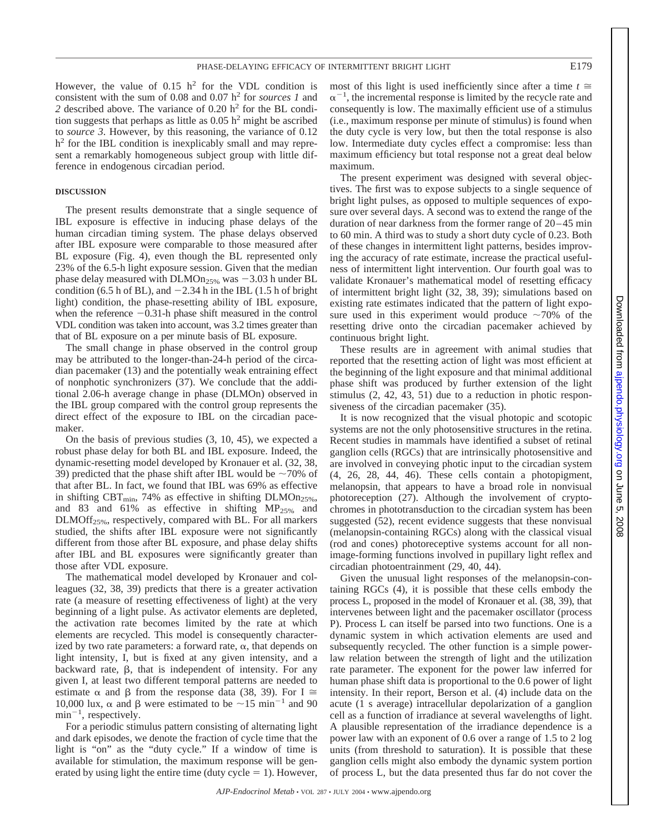However, the value of  $0.15$  h<sup>2</sup> for the VDL condition is consistent with the sum of 0.08 and 0.07 h<sup>2</sup> for *sources 1* and 2 described above. The variance of  $0.20 h<sup>2</sup>$  for the BL condition suggests that perhaps as little as  $0.05 h<sup>2</sup>$  might be ascribed to *source 3*. However, by this reasoning, the variance of 0.12  $h<sup>2</sup>$  for the IBL condition is inexplicably small and may represent a remarkably homogeneous subject group with little difference in endogenous circadian period.

### **DISCUSSION**

The present results demonstrate that a single sequence of IBL exposure is effective in inducing phase delays of the human circadian timing system. The phase delays observed after IBL exposure were comparable to those measured after BL exposure (Fig. 4), even though the BL represented only 23% of the 6.5-h light exposure session. Given that the median phase delay measured with  $DLMOn_{25\%}$  was  $-3.03$  h under BL condition (6.5 h of BL), and  $-2.34$  h in the IBL (1.5 h of bright light) condition, the phase-resetting ability of IBL exposure, when the reference  $-0.31$ -h phase shift measured in the control VDL condition was taken into account, was 3.2 times greater than that of BL exposure on a per minute basis of BL exposure.

The small change in phase observed in the control group may be attributed to the longer-than-24-h period of the circadian pacemaker (13) and the potentially weak entraining effect of nonphotic synchronizers (37). We conclude that the additional 2.06-h average change in phase (DLMOn) observed in the IBL group compared with the control group represents the direct effect of the exposure to IBL on the circadian pacemaker.

On the basis of previous studies (3, 10, 45), we expected a robust phase delay for both BL and IBL exposure. Indeed, the dynamic-resetting model developed by Kronauer et al. (32, 38, 39) predicted that the phase shift after IBL would be  $\sim$ 70% of that after BL. In fact, we found that IBL was 69% as effective in shifting CBT<sub>min</sub>, 74% as effective in shifting DLMOn<sub>25%</sub>, and 83 and 61% as effective in shifting  $MP_{25\%}$  and DLMOff<sub>25%</sub>, respectively, compared with BL. For all markers studied, the shifts after IBL exposure were not significantly different from those after BL exposure, and phase delay shifts after IBL and BL exposures were significantly greater than those after VDL exposure.

The mathematical model developed by Kronauer and colleagues (32, 38, 39) predicts that there is a greater activation rate (a measure of resetting effectiveness of light) at the very beginning of a light pulse. As activator elements are depleted, the activation rate becomes limited by the rate at which elements are recycled. This model is consequently characterized by two rate parameters: a forward rate,  $\alpha$ , that depends on light intensity, I, but is fixed at any given intensity, and a backward rate,  $\beta$ , that is independent of intensity. For any given I, at least two different temporal patterns are needed to estimate  $\alpha$  and  $\beta$  from the response data (38, 39). For I  $\approx$ 10,000 lux,  $\alpha$  and  $\beta$  were estimated to be  $\sim$ 15 min<sup>-1</sup> and 90  $min^{-1}$ , respectively.

For a periodic stimulus pattern consisting of alternating light and dark episodes, we denote the fraction of cycle time that the light is "on" as the "duty cycle." If a window of time is available for stimulation, the maximum response will be generated by using light the entire time (duty cycle  $= 1$ ). However, most of this light is used inefficiently since after a time  $t \approx$  $\alpha^{-1}$ , the incremental response is limited by the recycle rate and consequently is low. The maximally efficient use of a stimulus (i.e., maximum response per minute of stimulus) is found when the duty cycle is very low, but then the total response is also low. Intermediate duty cycles effect a compromise: less than maximum efficiency but total response not a great deal below maximum.

The present experiment was designed with several objectives. The first was to expose subjects to a single sequence of bright light pulses, as opposed to multiple sequences of exposure over several days. A second was to extend the range of the duration of near darkness from the former range of 20–45 min to 60 min. A third was to study a short duty cycle of 0.23. Both of these changes in intermittent light patterns, besides improving the accuracy of rate estimate, increase the practical usefulness of intermittent light intervention. Our fourth goal was to validate Kronauer's mathematical model of resetting efficacy of intermittent bright light (32, 38, 39); simulations based on existing rate estimates indicated that the pattern of light exposure used in this experiment would produce  $\sim$ 70% of the resetting drive onto the circadian pacemaker achieved by continuous bright light.

These results are in agreement with animal studies that reported that the resetting action of light was most efficient at the beginning of the light exposure and that minimal additional phase shift was produced by further extension of the light stimulus (2, 42, 43, 51) due to a reduction in photic responsiveness of the circadian pacemaker (35).

It is now recognized that the visual photopic and scotopic systems are not the only photosensitive structures in the retina. Recent studies in mammals have identified a subset of retinal ganglion cells (RGCs) that are intrinsically photosensitive and are involved in conveying photic input to the circadian system (4, 26, 28, 44, 46). These cells contain a photopigment, melanopsin, that appears to have a broad role in nonvisual photoreception (27). Although the involvement of cryptochromes in phototransduction to the circadian system has been suggested (52), recent evidence suggests that these nonvisual (melanopsin-containing RGCs) along with the classical visual (rod and cones) photoreceptive systems account for all nonimage-forming functions involved in pupillary light reflex and circadian photoentrainment (29, 40, 44).

Given the unusual light responses of the melanopsin-containing RGCs (4), it is possible that these cells embody the process L, proposed in the model of Kronauer et al. (38, 39), that intervenes between light and the pacemaker oscillator (process P). Process L can itself be parsed into two functions. One is a dynamic system in which activation elements are used and subsequently recycled. The other function is a simple powerlaw relation between the strength of light and the utilization rate parameter. The exponent for the power law inferred for human phase shift data is proportional to the 0.6 power of light intensity. In their report, Berson et al. (4) include data on the acute (1 s average) intracellular depolarization of a ganglion cell as a function of irradiance at several wavelengths of light. A plausible representation of the irradiance dependence is a power law with an exponent of 0.6 over a range of 1.5 to 2 log units (from threshold to saturation). It is possible that these ganglion cells might also embody the dynamic system portion of process L, but the data presented thus far do not cover the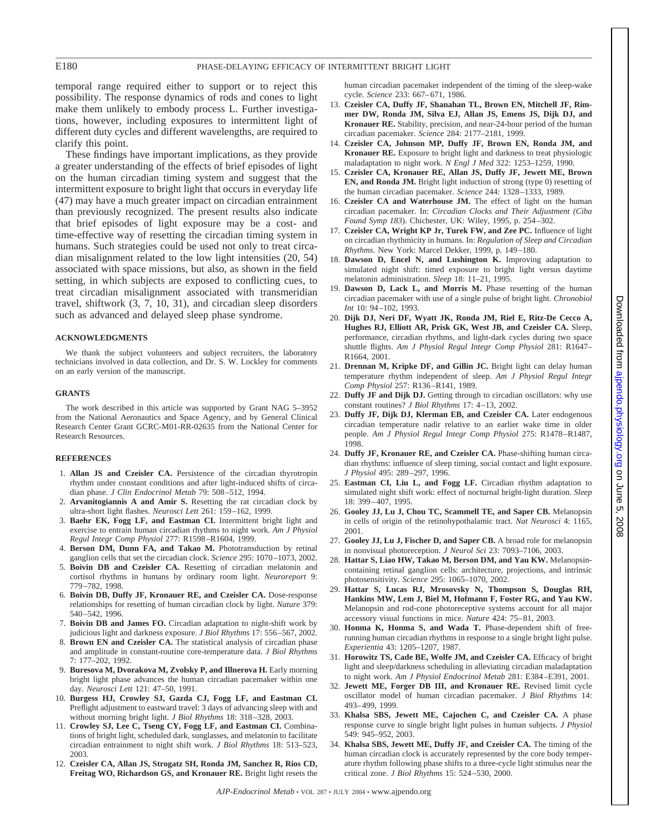temporal range required either to support or to reject this possibility. The response dynamics of rods and cones to light make them unlikely to embody process L. Further investigations, however, including exposures to intermittent light of different duty cycles and different wavelengths, are required to clarify this point.

These findings have important implications, as they provide a greater understanding of the effects of brief episodes of light on the human circadian timing system and suggest that the intermittent exposure to bright light that occurs in everyday life (47) may have a much greater impact on circadian entrainment than previously recognized. The present results also indicate that brief episodes of light exposure may be a cost- and time-effective way of resetting the circadian timing system in humans. Such strategies could be used not only to treat circadian misalignment related to the low light intensities (20, 54) associated with space missions, but also, as shown in the field setting, in which subjects are exposed to conflicting cues, to treat circadian misalignment associated with transmeridian travel, shiftwork (3, 7, 10, 31), and circadian sleep disorders such as advanced and delayed sleep phase syndrome.

### **ACKNOWLEDGMENTS**

We thank the subject volunteers and subject recruiters, the laboratory technicians involved in data collection, and Dr. S. W. Lockley for comments on an early version of the manuscript.

### **GRANTS**

The work described in this article was supported by Grant NAG 5–3952 from the National Aeronautics and Space Agency, and by General Clinical Research Center Grant GCRC-M01-RR-02635 from the National Center for Research Resources.

### **REFERENCES**

- 1. **Allan JS and Czeisler CA.** Persistence of the circadian thyrotropin rhythm under constant conditions and after light-induced shifts of circadian phase. *J Clin Endocrinol Metab* 79: 508–512, 1994.
- 2. **Arvanitogiannis A and Amir S.** Resetting the rat circadian clock by ultra-short light flashes. *Neurosci Lett* 261: 159–162, 1999.
- 3. **Baehr EK, Fogg LF, and Eastman CI.** Intermittent bright light and exercise to entrain human circadian rhythms to night work. *Am J Physiol Regul Integr Comp Physiol* 277: R1598–R1604, 1999.
- 4. **Berson DM, Dunn FA, and Takao M.** Phototransduction by retinal ganglion cells that set the circadian clock. *Science* 295: 1070–1073, 2002.
- 5. **Boivin DB and Czeisler CA.** Resetting of circadian melatonin and cortisol rhythms in humans by ordinary room light. *Neuroreport* 9: 779–782, 1998.
- 6. **Boivin DB, Duffy JF, Kronauer RE, and Czeisler CA.** Dose-response relationships for resetting of human circadian clock by light. *Nature* 379: 540–542, 1996.
- 7. **Boivin DB and James FO.** Circadian adaptation to night-shift work by judicious light and darkness exposure. *J Biol Rhythms* 17: 556–567, 2002.
- 8. **Brown EN and Czeisler CA.** The statistical analysis of circadian phase and amplitude in constant-routine core-temperature data. *J Biol Rhythms* 7: 177–202, 1992.
- 9. **Buresova M, Dvorakova M, Zvolsky P, and Illnerova H.** Early morning bright light phase advances the human circadian pacemaker within one day. *Neurosci Lett* 121: 47–50, 1991.
- 10. **Burgess HJ, Crowley SJ, Gazda CJ, Fogg LF, and Eastman CI.** Preflight adjustment to eastward travel: 3 days of advancing sleep with and without morning bright light. *J Biol Rhythms* 18: 318–328, 2003.
- 11. **Crowley SJ, Lee C, Tseng CY, Fogg LF, and Eastman CI.** Combinations of bright light, scheduled dark, sunglasses, and melatonin to facilitate circadian entrainment to night shift work. *J Biol Rhythms* 18: 513–523, 2003.
- 12. **Czeisler CA, Allan JS, Strogatz SH, Ronda JM, Sanchez R, Rios CD, Freitag WO, Richardson GS, and Kronauer RE.** Bright light resets the

human circadian pacemaker independent of the timing of the sleep-wake cycle. *Science* 233: 667–671, 1986.

- 13. **Czeisler CA, Duffy JF, Shanahan TL, Brown EN, Mitchell JF, Rimmer DW, Ronda JM, Silva EJ, Allan JS, Emens JS, Dijk DJ, and Kronauer RE.** Stability, precision, and near-24-hour period of the human circadian pacemaker. *Science* 284: 2177–2181, 1999.
- 14. **Czeisler CA, Johnson MP, Duffy JF, Brown EN, Ronda JM, and Kronauer RE.** Exposure to bright light and darkness to treat physiologic maladaptation to night work. *N Engl J Med* 322: 1253–1259, 1990.
- 15. **Czeisler CA, Kronauer RE, Allan JS, Duffy JF, Jewett ME, Brown EN, and Ronda JM.** Bright light induction of strong (type 0) resetting of the human circadian pacemaker. *Science* 244: 1328–1333, 1989.
- 16. **Czeisler CA and Waterhouse JM.** The effect of light on the human circadian pacemaker. In: *Circadian Clocks and Their Adjustment (Ciba Found Symp 183*). Chichester, UK: Wiley, 1995, p. 254–302.
- 17. **Czeisler CA, Wright KP Jr, Turek FW, and Zee PC.** Influence of light on circadian rhythmicity in humans. In: *Regulation of Sleep and Circadian Rhythms*. New York: Marcel Dekker, 1999, p. 149–180.
- 18. **Dawson D, Encel N, and Lushington K.** Improving adaptation to simulated night shift: timed exposure to bright light versus daytime melatonin administration. *Sleep* 18: 11–21, 1995.
- 19. **Dawson D, Lack L, and Morris M.** Phase resetting of the human circadian pacemaker with use of a single pulse of bright light. *Chronobiol Int* 10: 94–102, 1993.
- 20. **Dijk DJ, Neri DF, Wyatt JK, Ronda JM, Riel E, Ritz-De Cecco A, Hughes RJ, Elliott AR, Prisk GK, West JB, and Czeisler CA.** Sleep, performance, circadian rhythms, and light-dark cycles during two space shuttle flights. *Am J Physiol Regul Integr Comp Physiol* 281: R1647– R1664, 2001.
- 21. **Drennan M, Kripke DF, and Gillin JC.** Bright light can delay human temperature rhythm independent of sleep. *Am J Physiol Regul Integr Comp Physiol* 257: R136–R141, 1989.
- 22. **Duffy JF and Dijk DJ.** Getting through to circadian oscillators: why use constant routines? *J Biol Rhythms* 17: 4–13, 2002.
- 23. **Duffy JF, Dijk DJ, Klerman EB, and Czeisler CA.** Later endogenous circadian temperature nadir relative to an earlier wake time in older people. *Am J Physiol Regul Integr Comp Physiol* 275: R1478–R1487, 1998.
- 24. **Duffy JF, Kronauer RE, and Czeisler CA.** Phase-shifting human circadian rhythms: influence of sleep timing, social contact and light exposure. *J Physiol* 495: 289–297, 1996.
- 25. **Eastman CI, Liu L, and Fogg LF.** Circadian rhythm adaptation to simulated night shift work: effect of nocturnal bright-light duration. *Sleep* 18: 399–407, 1995.
- 26. **Gooley JJ, Lu J, Chou TC, Scammell TE, and Saper CB.** Melanopsin in cells of origin of the retinohypothalamic tract. *Nat Neurosci* 4: 1165, 2001.
- 27. **Gooley JJ, Lu J, Fischer D, and Saper CB.** A broad role for melanopsin in nonvisual photoreception. *J Neurol Sci* 23: 7093–7106, 2003.
- 28. **Hattar S, Liao HW, Takao M, Berson DM, and Yau KW.** Melanopsincontaining retinal ganglion cells: architecture, projections, and intrinsic photosensitivity. *Science* 295: 1065–1070, 2002.
- 29. **Hattar S, Lucas RJ, Mrosovsky N, Thompson S, Douglas RH, Hankins MW, Lem J, Biel M, Hofmann F, Foster RG, and Yau KW.** Melanopsin and rod-cone photoreceptive systems account for all major accessory visual functions in mice. *Nature* 424: 75–81, 2003.
- 30. **Honma K, Honma S, and Wada T.** Phase-dependent shift of freerunning human circadian rhythms in response to a single bright light pulse. *Experientia* 43: 1205–1207, 1987.
- 31. **Horowitz TS, Cade BE, Wolfe JM, and Czeisler CA.** Efficacy of bright light and sleep/darkness scheduling in alleviating circadian maladaptation to night work. *Am J Physiol Endocrinol Metab* 281: E384–E391, 2001.
- 32. **Jewett ME, Forger DB III, and Kronauer RE.** Revised limit cycle oscillator model of human circadian pacemaker. *J Biol Rhythms* 14: 493–499, 1999.
- 33. **Khalsa SBS, Jewett ME, Cajochen C, and Czeisler CA.** A phase response curve to single bright light pulses in human subjects. *J Physiol* 549: 945–952, 2003.
- 34. **Khalsa SBS, Jewett ME, Duffy JF, and Czeisler CA.** The timing of the human circadian clock is accurately represented by the core body temperature rhythm following phase shifts to a three-cycle light stimulus near the critical zone. *J Biol Rhythms* 15: 524–530, 2000.